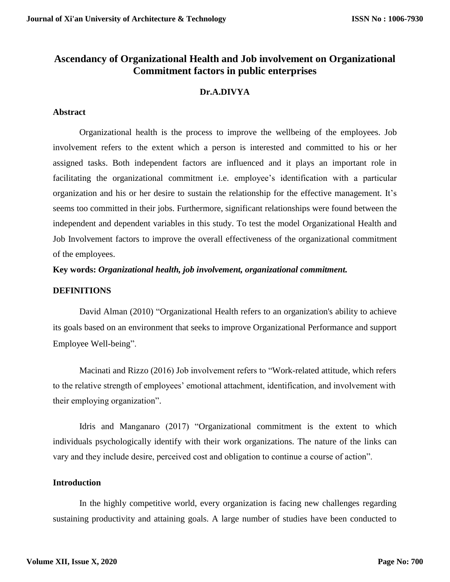# **Ascendancy of Organizational Health and Job involvement on Organizational Commitment factors in public enterprises**

# **Dr.A.DIVYA**

## **Abstract**

Organizational health is the process to improve the wellbeing of the employees. Job involvement refers to the extent which a person is interested and committed to his or her assigned tasks. Both independent factors are influenced and it plays an important role in facilitating the organizational commitment i.e. employee's identification with a particular organization and his or her desire to sustain the relationship for the effective management. It's seems too committed in their jobs. Furthermore, significant relationships were found between the independent and dependent variables in this study. To test the model Organizational Health and Job Involvement factors to improve the overall effectiveness of the organizational commitment of the employees.

# **Key words:** *Organizational health, job involvement, organizational commitment.*

## **DEFINITIONS**

David Alman (2010) "Organizational Health refers to an organization's ability to achieve its goals based on an environment that seeks to improve Organizational Performance and support Employee Well-being".

Macinati and Rizzo (2016) Job involvement refers to "Work-related attitude, which refers to the relative strength of employees' emotional attachment, identification, and involvement with their employing organization".

Idris and Manganaro (2017) "Organizational commitment is the extent to which individuals psychologically identify with their work organizations. The nature of the links can vary and they include desire, perceived cost and obligation to continue a course of action".

# **Introduction**

In the highly competitive world, every organization is facing new challenges regarding sustaining productivity and attaining goals. A large number of studies have been conducted to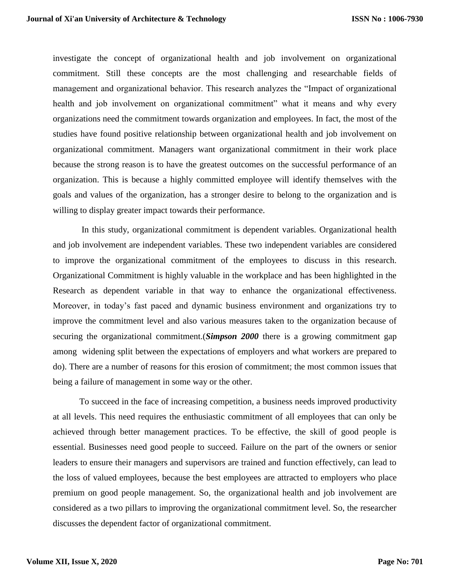investigate the concept of organizational health and job involvement on organizational commitment. Still these concepts are the most challenging and researchable fields of management and organizational behavior. This research analyzes the "Impact of organizational health and job involvement on organizational commitment" what it means and why every organizations need the commitment towards organization and employees. In fact, the most of the studies have found positive relationship between organizational health and job involvement on organizational commitment. Managers want organizational commitment in their work place because the strong reason is to have the greatest outcomes on the successful performance of an organization. This is because a highly committed employee will identify themselves with the goals and values of the organization, has a stronger desire to belong to the organization and is willing to display greater impact towards their performance.

In this study, organizational commitment is dependent variables. Organizational health and job involvement are independent variables. These two independent variables are considered to improve the organizational commitment of the employees to discuss in this research. Organizational Commitment is highly valuable in the workplace and has been highlighted in the Research as dependent variable in that way to enhance the organizational effectiveness. Moreover, in today's fast paced and dynamic business environment and organizations try to improve the commitment level and also various measures taken to the organization because of securing the organizational commitment.(*Simpson 2000* there is a growing commitment gap among widening split between the expectations of employers and what workers are prepared to do). There are a number of reasons for this erosion of commitment; the most common issues that being a failure of management in some way or the other.

To succeed in the face of increasing competition, a business needs improved productivity at all levels. This need requires the enthusiastic commitment of all employees that can only be achieved through better management practices. To be effective, the skill of good people is essential. Businesses need good people to succeed. Failure on the part of the owners or senior leaders to ensure their managers and supervisors are trained and function effectively, can lead to the loss of valued employees, because the best employees are attracted to employers who place premium on good people management. So, the organizational health and job involvement are considered as a two pillars to improving the organizational commitment level. So, the researcher discusses the dependent factor of organizational commitment.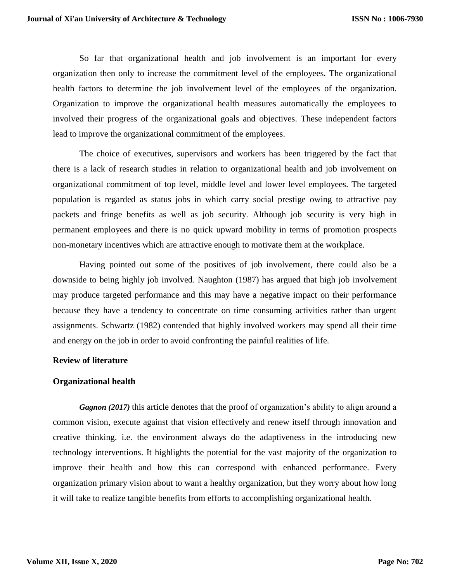So far that organizational health and job involvement is an important for every organization then only to increase the commitment level of the employees. The organizational health factors to determine the job involvement level of the employees of the organization. Organization to improve the organizational health measures automatically the employees to involved their progress of the organizational goals and objectives. These independent factors lead to improve the organizational commitment of the employees.

The choice of executives, supervisors and workers has been triggered by the fact that there is a lack of research studies in relation to organizational health and job involvement on organizational commitment of top level, middle level and lower level employees. The targeted population is regarded as status jobs in which carry social prestige owing to attractive pay packets and fringe benefits as well as job security. Although job security is very high in permanent employees and there is no quick upward mobility in terms of promotion prospects non-monetary incentives which are attractive enough to motivate them at the workplace.

Having pointed out some of the positives of job involvement, there could also be a downside to being highly job involved. Naughton (1987) has argued that high job involvement may produce targeted performance and this may have a negative impact on their performance because they have a tendency to concentrate on time consuming activities rather than urgent assignments. Schwartz (1982) contended that highly involved workers may spend all their time and energy on the job in order to avoid confronting the painful realities of life.

# **Review of literature**

## **Organizational health**

*Gagnon (2017)* this article denotes that the proof of organization's ability to align around a common vision, execute against that vision effectively and renew itself through innovation and creative thinking. i.e. the environment always do the adaptiveness in the introducing new technology interventions. It highlights the potential for the vast majority of the organization to improve their health and how this can correspond with enhanced performance. Every organization primary vision about to want a healthy organization, but they worry about how long it will take to realize tangible benefits from efforts to accomplishing organizational health.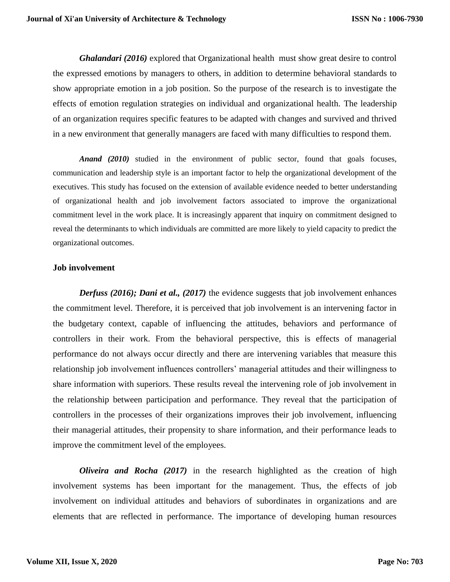*Ghalandari (2016)* explored that Organizational health must show great desire to control the expressed emotions by managers to others, in addition to determine behavioral standards to show appropriate emotion in a job position. So the purpose of the research is to investigate the effects of emotion regulation strategies on individual and organizational health. The leadership of an organization requires specific features to be adapted with changes and survived and thrived in a new environment that generally managers are faced with many difficulties to respond them.

*Anand (2010)* studied in the environment of public sector, found that goals focuses, communication and leadership style is an important factor to help the organizational development of the executives. This study has focused on the extension of available evidence needed to better understanding of organizational health and job involvement factors associated to improve the organizational commitment level in the work place. It is increasingly apparent that inquiry on commitment designed to reveal the determinants to which individuals are committed are more likely to yield capacity to predict the organizational outcomes.

## **Job involvement**

*Derfuss (2016); Dani et al., (2017)* the evidence suggests that job involvement enhances the commitment level. Therefore, it is perceived that job involvement is an intervening factor in the budgetary context, capable of influencing the attitudes, behaviors and performance of controllers in their work. From the behavioral perspective, this is effects of managerial performance do not always occur directly and there are intervening variables that measure this relationship job involvement influences controllers' managerial attitudes and their willingness to share information with superiors. These results reveal the intervening role of job involvement in the relationship between participation and performance. They reveal that the participation of controllers in the processes of their organizations improves their job involvement, influencing their managerial attitudes, their propensity to share information, and their performance leads to improve the commitment level of the employees.

*Oliveira and Rocha (2017)* in the research highlighted as the creation of high involvement systems has been important for the management. Thus, the effects of job involvement on individual attitudes and behaviors of subordinates in organizations and are elements that are reflected in performance. The importance of developing human resources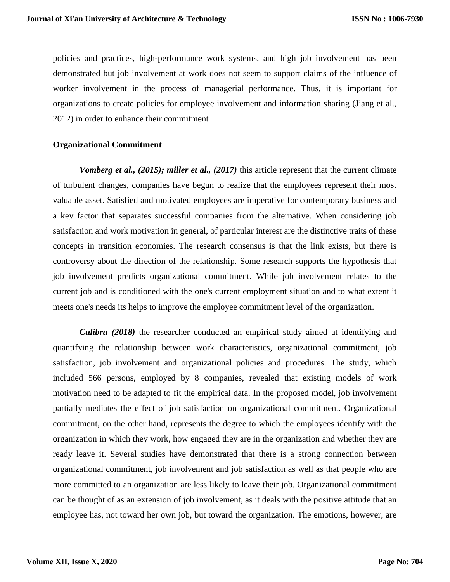policies and practices, high-performance work systems, and high job involvement has been demonstrated but job involvement at work does not seem to support claims of the influence of worker involvement in the process of managerial performance. Thus, it is important for organizations to create policies for employee involvement and information sharing (Jiang et al., 2012) in order to enhance their commitment

## **Organizational Commitment**

*Vomberg et al., (2015); miller et al., (2017)* this article represent that the current climate of turbulent changes, companies have begun to realize that the employees represent their most valuable asset. Satisfied and motivated employees are imperative for contemporary business and a key factor that separates successful companies from the alternative. When considering job satisfaction and work motivation in general, of particular interest are the distinctive traits of these concepts in transition economies. The research consensus is that the link exists, but there is controversy about the direction of the relationship. Some research supports the hypothesis that job involvement predicts organizational commitment. While job involvement relates to the current job and is conditioned with the one's current employment situation and to what extent it meets one's needs its helps to improve the employee commitment level of the organization.

*Culibru (2018)* the researcher conducted an empirical study aimed at identifying and quantifying the relationship between work characteristics, organizational commitment, job satisfaction, job involvement and organizational policies and procedures. The study, which included 566 persons, employed by 8 companies, revealed that existing models of work motivation need to be adapted to fit the empirical data. In the proposed model, job involvement partially mediates the effect of job satisfaction on organizational commitment. Organizational commitment, on the other hand, represents the degree to which the employees identify with the organization in which they work, how engaged they are in the organization and whether they are ready leave it. Several studies have demonstrated that there is a strong connection between organizational commitment, job involvement and job satisfaction as well as that people who are more committed to an organization are less likely to leave their job. Organizational commitment can be thought of as an extension of job involvement, as it deals with the positive attitude that an employee has, not toward her own job, but toward the organization. The emotions, however, are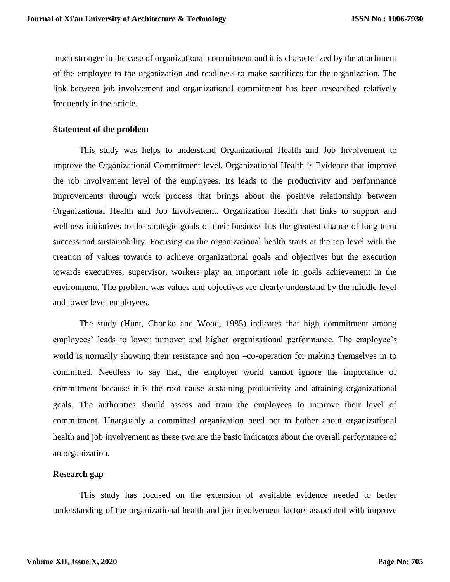much stronger in the case of organizational commitment and it is characterized by the attachment of the employee to the organization and readiness to make sacrifices for the organization. The link between job involvement and organizational commitment has been researched relatively frequently in the article.

## **Statement of the problem**

This study was helps to understand Organizational Health and Job Involvement to improve the Organizational Commitment level. Organizational Health is Evidence that improve the job involvement level of the employees. Its leads to the productivity and performance improvements through work process that brings about the positive relationship between Organizational Health and Job Involvement. Organization Health that links to support and wellness initiatives to the strategic goals of their business has the greatest chance of long term success and sustainability. Focusing on the organizational health starts at the top level with the creation of values towards to achieve organizational goals and objectives but the execution towards executives, supervisor, workers play an important role in goals achievement in the environment. The problem was values and objectives are clearly understand by the middle level and lower level employees.

The study (Hunt, Chonko and Wood, 1985) indicates that high commitment among employees' leads to lower turnover and higher organizational performance. The employee's world is normally showing their resistance and non –co-operation for making themselves in to committed. Needless to say that, the employer world cannot ignore the importance of commitment because it is the root cause sustaining productivity and attaining organizational goals. The authorities should assess and train the employees to improve their level of commitment. Unarguably a committed organization need not to bother about organizational health and job involvement as these two are the basic indicators about the overall performance of an organization.

## **Research gap**

This study has focused on the extension of available evidence needed to better understanding of the organizational health and job involvement factors associated with improve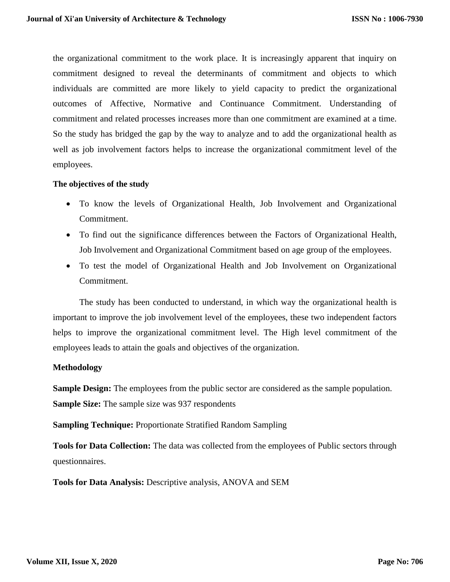the organizational commitment to the work place. It is increasingly apparent that inquiry on commitment designed to reveal the determinants of commitment and objects to which individuals are committed are more likely to yield capacity to predict the organizational outcomes of Affective, Normative and Continuance Commitment. Understanding of commitment and related processes increases more than one commitment are examined at a time. So the study has bridged the gap by the way to analyze and to add the organizational health as well as job involvement factors helps to increase the organizational commitment level of the employees.

## **The objectives of the study**

- To know the levels of Organizational Health, Job Involvement and Organizational Commitment.
- To find out the significance differences between the Factors of Organizational Health, Job Involvement and Organizational Commitment based on age group of the employees.
- To test the model of Organizational Health and Job Involvement on Organizational Commitment.

The study has been conducted to understand, in which way the organizational health is important to improve the job involvement level of the employees, these two independent factors helps to improve the organizational commitment level. The High level commitment of the employees leads to attain the goals and objectives of the organization.

# **Methodology**

**Sample Design:** The employees from the public sector are considered as the sample population. **Sample Size:** The sample size was 937 respondents

**Sampling Technique:** Proportionate Stratified Random Sampling

**Tools for Data Collection:** The data was collected from the employees of Public sectors through questionnaires.

**Tools for Data Analysis:** Descriptive analysis, ANOVA and SEM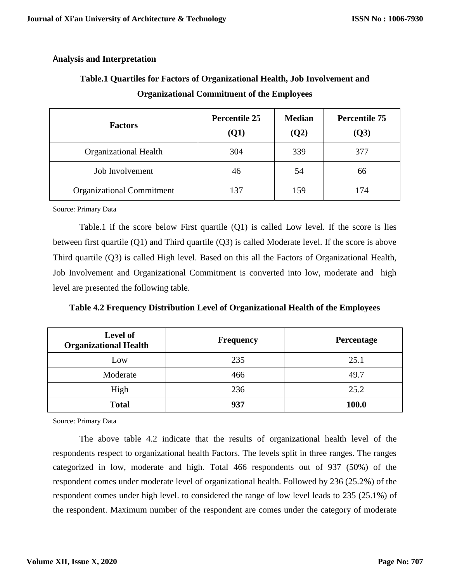# A**nalysis and Interpretation**

| <b>Factors</b>                   | <b>Percentile 25</b><br><b>(Q1)</b> | <b>Median</b><br>(Q2) | <b>Percentile 75</b><br>(Q3) |  |
|----------------------------------|-------------------------------------|-----------------------|------------------------------|--|
| <b>Organizational Health</b>     | 304                                 | 339                   | 377                          |  |
| Job Involvement                  | 46                                  | 54                    | 66                           |  |
| <b>Organizational Commitment</b> | 137                                 | 159                   | 174                          |  |

# **Table.1 Quartiles for Factors of Organizational Health, Job Involvement and Organizational Commitment of the Employees**

Source: Primary Data

Table.1 if the score below First quartile (Q1) is called Low level. If the score is lies between first quartile (Q1) and Third quartile (Q3) is called Moderate level. If the score is above Third quartile (Q3) is called High level. Based on this all the Factors of Organizational Health, Job Involvement and Organizational Commitment is converted into low, moderate and high level are presented the following table.

| <b>Level of</b><br><b>Organizational Health</b> | <b>Frequency</b> | Percentage |
|-------------------------------------------------|------------------|------------|
| Low                                             | 235              | 25.1       |
| Moderate                                        | 466              | 49.7       |
| High                                            | 236              | 25.2       |

**Total 937 100.0**

**Table 4.2 Frequency Distribution Level of Organizational Health of the Employees**

Source: Primary Data

The above table 4.2 indicate that the results of organizational health level of the respondents respect to organizational health Factors. The levels split in three ranges. The ranges categorized in low, moderate and high. Total 466 respondents out of 937 (50%) of the respondent comes under moderate level of organizational health. Followed by 236 (25.2%) of the respondent comes under high level. to considered the range of low level leads to 235 (25.1%) of the respondent. Maximum number of the respondent are comes under the category of moderate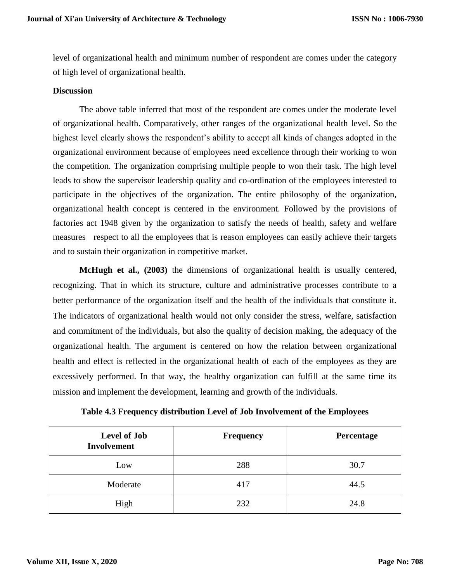level of organizational health and minimum number of respondent are comes under the category of high level of organizational health.

## **Discussion**

The above table inferred that most of the respondent are comes under the moderate level of organizational health. Comparatively, other ranges of the organizational health level. So the highest level clearly shows the respondent's ability to accept all kinds of changes adopted in the organizational environment because of employees need excellence through their working to won the competition. The organization comprising multiple people to won their task. The high level leads to show the supervisor leadership quality and co-ordination of the employees interested to participate in the objectives of the organization. The entire philosophy of the organization, organizational health concept is centered in the environment. Followed by the provisions of factories act 1948 given by the organization to satisfy the needs of health, safety and welfare measures respect to all the employees that is reason employees can easily achieve their targets and to sustain their organization in competitive market.

**McHugh et al., (2003)** the dimensions of organizational health is usually centered, recognizing. That in which its structure, culture and administrative processes contribute to a better performance of the organization itself and the health of the individuals that constitute it. The indicators of organizational health would not only consider the stress, welfare, satisfaction and commitment of the individuals, but also the quality of decision making, the adequacy of the organizational health. The argument is centered on how the relation between organizational health and effect is reflected in the organizational health of each of the employees as they are excessively performed. In that way, the healthy organization can fulfill at the same time its mission and implement the development, learning and growth of the individuals.

| <b>Level of Job</b><br><b>Involvement</b> | <b>Frequency</b> | Percentage |
|-------------------------------------------|------------------|------------|
| Low                                       | 288              | 30.7       |
| Moderate                                  | 417              | 44.5       |
| High                                      | 232              | 24.8       |

**Table 4.3 Frequency distribution Level of Job Involvement of the Employees**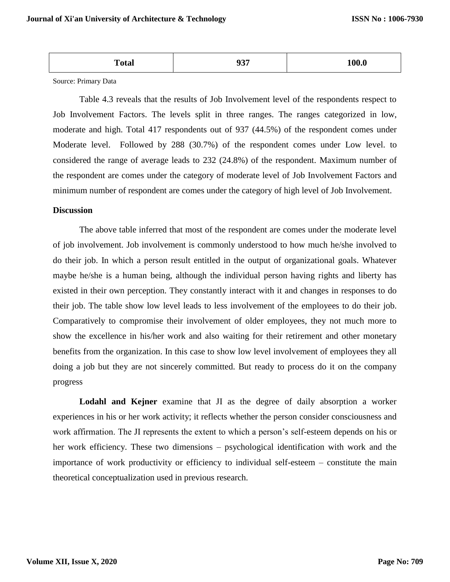| Total | $\sim -$ | . nr |
|-------|----------|------|
|       |          |      |

Source: Primary Data

Table 4.3 reveals that the results of Job Involvement level of the respondents respect to Job Involvement Factors. The levels split in three ranges. The ranges categorized in low, moderate and high. Total 417 respondents out of 937 (44.5%) of the respondent comes under Moderate level. Followed by 288 (30.7%) of the respondent comes under Low level. to considered the range of average leads to 232 (24.8%) of the respondent. Maximum number of the respondent are comes under the category of moderate level of Job Involvement Factors and minimum number of respondent are comes under the category of high level of Job Involvement.

## **Discussion**

The above table inferred that most of the respondent are comes under the moderate level of job involvement. Job involvement is commonly understood to how much he/she involved to do their job. In which a person result entitled in the output of organizational goals. Whatever maybe he/she is a human being, although the individual person having rights and liberty has existed in their own perception. They constantly interact with it and changes in responses to do their job. The table show low level leads to less involvement of the employees to do their job. Comparatively to compromise their involvement of older employees, they not much more to show the excellence in his/her work and also waiting for their retirement and other monetary benefits from the organization. In this case to show low level involvement of employees they all doing a job but they are not sincerely committed. But ready to process do it on the company progress

**Lodahl and Kejner** examine that JI as the degree of daily absorption a worker experiences in his or her work activity; it reflects whether the person consider consciousness and work affirmation. The JI represents the extent to which a person's self-esteem depends on his or her work efficiency. These two dimensions – psychological identification with work and the importance of work productivity or efficiency to individual self-esteem – constitute the main theoretical conceptualization used in previous research.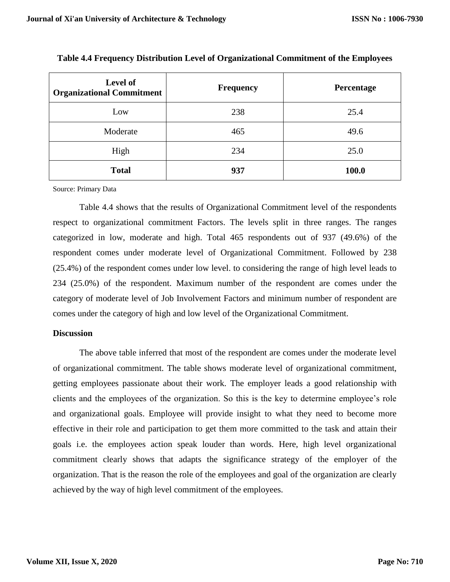| Level of<br><b>Organizational Commitment</b> | <b>Frequency</b> | Percentage |
|----------------------------------------------|------------------|------------|
| Low                                          | 238              | 25.4       |
| Moderate                                     | 465              | 49.6       |
| High                                         | 234              | 25.0       |
| <b>Total</b>                                 | 937              | 100.0      |

**Table 4.4 Frequency Distribution Level of Organizational Commitment of the Employees**

Source: Primary Data

Table 4.4 shows that the results of Organizational Commitment level of the respondents respect to organizational commitment Factors. The levels split in three ranges. The ranges categorized in low, moderate and high. Total 465 respondents out of 937 (49.6%) of the respondent comes under moderate level of Organizational Commitment. Followed by 238 (25.4%) of the respondent comes under low level. to considering the range of high level leads to 234 (25.0%) of the respondent. Maximum number of the respondent are comes under the category of moderate level of Job Involvement Factors and minimum number of respondent are comes under the category of high and low level of the Organizational Commitment.

## **Discussion**

The above table inferred that most of the respondent are comes under the moderate level of organizational commitment. The table shows moderate level of organizational commitment, getting employees passionate about their work. The employer leads a good relationship with clients and the employees of the organization. So this is the key to determine employee's role and organizational goals. Employee will provide insight to what they need to become more effective in their role and participation to get them more committed to the task and attain their goals i.e. the employees action speak louder than words. Here, high level organizational commitment clearly shows that adapts the significance strategy of the employer of the organization. That is the reason the role of the employees and goal of the organization are clearly achieved by the way of high level commitment of the employees.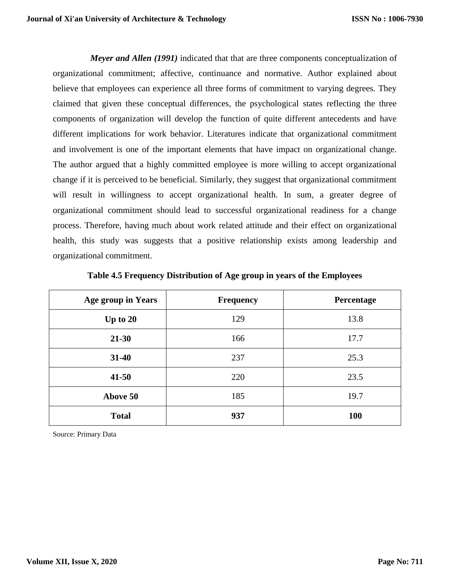*Meyer and Allen (1991)* indicated that that are three components conceptualization of organizational commitment; affective, continuance and normative. Author explained about believe that employees can experience all three forms of commitment to varying degrees. They claimed that given these conceptual differences, the psychological states reflecting the three components of organization will develop the function of quite different antecedents and have different implications for work behavior. Literatures indicate that organizational commitment and involvement is one of the important elements that have impact on organizational change. The author argued that a highly committed employee is more willing to accept organizational change if it is perceived to be beneficial. Similarly, they suggest that organizational commitment will result in willingness to accept organizational health. In sum, a greater degree of organizational commitment should lead to successful organizational readiness for a change process. Therefore, having much about work related attitude and their effect on organizational health, this study was suggests that a positive relationship exists among leadership and organizational commitment.

| <b>Age group in Years</b> | <b>Frequency</b> | Percentage |
|---------------------------|------------------|------------|
| Up to $20$                | 129              | 13.8       |
| 21-30                     | 166              | 17.7       |
| $31 - 40$                 | 237              | 25.3       |
| $41 - 50$                 | 220              | 23.5       |
| Above 50                  | 185              | 19.7       |
| <b>Total</b>              | 937              | <b>100</b> |

**Table 4.5 Frequency Distribution of Age group in years of the Employees**

Source: Primary Data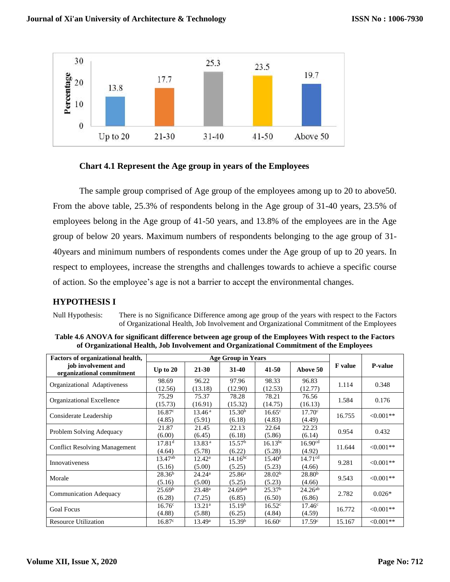

# **Chart 4.1 Represent the Age group in years of the Employees**

The sample group comprised of Age group of the employees among up to 20 to above50. From the above table, 25.3% of respondents belong in the Age group of 31-40 years, 23.5% of employees belong in the Age group of 41-50 years, and 13.8% of the employees are in the Age group of below 20 years. Maximum numbers of respondents belonging to the age group of 31- 40years and minimum numbers of respondents comes under the Age group of up to 20 years. In respect to employees, increase the strengths and challenges towards to achieve a specific course of action. So the employee's age is not a barrier to accept the environmental changes.

# **HYPOTHESIS I**

Null Hypothesis: There is no Significance Difference among age group of the years with respect to the Factors of Organizational Health, Job Involvement and Organizational Commitment of the Employees

| Table 4.6 ANOVA for significant difference between age group of the Employees With respect to the Factors |
|-----------------------------------------------------------------------------------------------------------|
| of Organizational Health, Job Involvement and Organizational Commitment of the Employees                  |

| <b>Factors of organizational health,</b>         |                              | <b>Age Group in Years</b>    |                              |                              |                               |                |                |
|--------------------------------------------------|------------------------------|------------------------------|------------------------------|------------------------------|-------------------------------|----------------|----------------|
| job involvement and<br>organizational commitment | Up to $20$                   | 21-30                        | $31 - 40$                    | $41 - 50$                    | Above 50                      | <b>F</b> value | <b>P-value</b> |
| Organizational Adaptiveness                      | 98.69<br>(12.56)             | 96.22<br>(13.18)             | 97.96<br>(12.90)             | 98.33<br>(12.53)             | 96.83<br>(12.77)              | 1.114          | 0.348          |
| Organizational Excellence                        | 75.29<br>(15.73)             | 75.37<br>(16.91)             | 78.28<br>(15.32)             | 78.21<br>(14.75)             | 76.56<br>(16.13)              | 1.584          | 0.176          |
| Considerate Leadership                           | 16.87c<br>(4.85)             | 13.46 <sup>a</sup><br>(5.91) | 15.30 <sup>b</sup><br>(6.18) | 16.65 <sup>c</sup><br>(4.83) | $17.70^{\circ}$<br>(4.49)     | 16.755         | $< 0.001**$    |
| Problem Solving Adequacy                         | 21.87<br>(6.00)              | 21.45<br>(6.45)              | 22.13<br>(6.18)              | 22.64<br>(5.86)              | 22.23<br>(6.14)               | 0.954          | 0.432          |
| <b>Conflict Resolving Management</b>             | 17.81 <sup>d</sup><br>(4.64) | 13.83 <sup>a</sup><br>(5.78) | 15.57 <sup>b</sup><br>(6.22) | $16.13^{bc}$<br>(5.28)       | 16.90 <sup>cd</sup><br>(4.92) | 11.644         | $< 0.001$ **   |
| Innovativeness                                   | $13.47^{ab}$<br>(5.16)       | $12.42^{\rm a}$<br>(5.00)    | $14.16^{bc}$<br>(5.25)       | 15.40 <sup>d</sup><br>(5.23) | 14.71 <sup>cd</sup><br>(4.66) | 9.281          | $<0.001**$     |
| Morale                                           | 28.36 <sup>b</sup><br>(5.16) | $24.24^a$<br>(5.00)          | $25.86^{\rm a}$<br>(5.25)    | 28.02 <sup>b</sup><br>(5.23) | 28.80 <sup>b</sup><br>(4.66)  | 9.543          | $< 0.001**$    |
| <b>Communication Adequacy</b>                    | 25.69 <sup>b</sup><br>(6.28) | $23.48^a$<br>(7.25)          | $24.69^{ab}$<br>(6.85)       | 25.37 <sup>b</sup><br>(6.50) | $24.26^{ab}$<br>(6.86)        | 2.782          | $0.026*$       |
| <b>Goal Focus</b>                                | $16.76^{\circ}$<br>(4.88)    | $13.21^a$<br>(5.88)          | 15.19 <sup>b</sup><br>(6.25) | 16.52 <sup>c</sup><br>(4.84) | $17.46^{\circ}$<br>(4.59)     | 16.772         | $< 0.001**$    |
| <b>Resource Utilization</b>                      | $16.87^{\circ}$              | $13.49^a$                    | 15.39 <sup>b</sup>           | $16.60^{\circ}$              | 17.59 <sup>c</sup>            | 15.167         | $< 0.001**$    |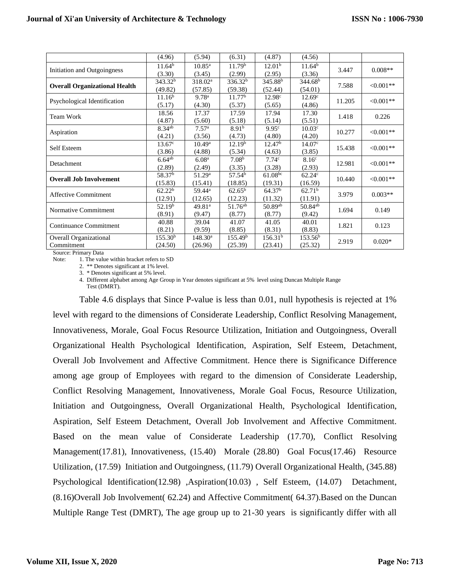|                                      | (4.96)              | (5.94)              | (6.31)              | (4.87)                | (4.56)              |        |            |
|--------------------------------------|---------------------|---------------------|---------------------|-----------------------|---------------------|--------|------------|
| Initiation and Outgoingness          | $11.64^{b}$         | $10.85^{\rm a}$     | 11.79 <sup>b</sup>  | 12.01 <sup>b</sup>    | 11.64 <sup>b</sup>  | 3.447  | $0.008**$  |
|                                      | (3.30)              | (3.45)              | (2.99)              | (2.95)                | (3.36)              |        |            |
|                                      | 343.32 <sup>b</sup> | 318.02 <sup>a</sup> | 336.32 <sup>b</sup> | $345.\overline{88^b}$ | 344.68 <sup>b</sup> | 7.588  | $<0.001**$ |
| <b>Overall Organizational Health</b> | (49.82)             | (57.85)             | (59.38)             | (52.44)               | (54.01)             |        |            |
| Psychological Identification         | 11.16 <sup>b</sup>  | 9.78 <sup>a</sup>   | 11.77 <sup>b</sup>  | 12.98c                | 12.69 <sup>c</sup>  | 11.205 | $<0.001**$ |
|                                      | (5.17)              | (4.30)              | (5.37)              | (5.65)                | (4.86)              |        |            |
| Team Work                            | 18.56               | 17.37               | 17.59               | 17.94                 | 17.30               | 1.418  | 0.226      |
|                                      | (4.87)              | (5.60)              | (5.18)              | (5.14)                | (5.51)              |        |            |
| Aspiration                           | $8.34^{ab}$         | 7.57 <sup>a</sup>   | 8.91 <sup>b</sup>   | 9.95c                 | 10.03 <sup>c</sup>  | 10.277 | $<0.001**$ |
|                                      | (4.21)              | (3.56)              | (4.73)              | (4.80)                | (4.20)              |        |            |
| Self Esteem                          | $13.67^{\circ}$     | $10.49^{\rm a}$     | 12.19 <sup>b</sup>  | 12.47 <sup>b</sup>    | 14.07 <sup>c</sup>  | 15.438 | $<0.001**$ |
|                                      | (3.86)              | (4.88)              | (5.34)              | (4.63)                | (3.85)              |        |            |
| Detachment                           | $6.64^{ab}$         | 6.08 <sup>a</sup>   | 7.08 <sup>b</sup>   | 7.74 <sup>c</sup>     | 8.16 <sup>c</sup>   | 12.981 | $<0.001**$ |
|                                      | (2.89)              | (2.49)              | (3.35)              | (3.28)                | (2.93)              |        |            |
| <b>Overall Job Involvement</b>       | 58.37 <sup>b</sup>  | 51.29 <sup>a</sup>  | 57.54 <sup>b</sup>  | $61.08^{bc}$          | 62.24 <sup>c</sup>  | 10.440 | $<0.001**$ |
|                                      | (15.83)             | (15.41)             | (18.85)             | (19.31)               | (16.59)             |        |            |
| <b>Affective Commitment</b>          | 62.22 <sup>b</sup>  | 59.44 <sup>a</sup>  | $62.65^{\rm b}$     | 64.37 <sup>b</sup>    | 62.71 <sup>b</sup>  | 3.979  | $0.003**$  |
|                                      | (12.91)             | (12.65)             | (12.23)             | (11.32)               | (11.91)             |        |            |
| Normative Commitment                 | 52.19 <sup>b</sup>  | 49.81 <sup>a</sup>  | 51.76 <sup>ab</sup> | 50.89ab               | $50.84^{ab}$        | 1.694  | 0.149      |
|                                      | (8.91)              | (9.47)              | (8.77)              | (8.77)                | (9.42)              |        |            |
| Continuance Commitment               | 40.88               | 39.04               | 41.07               | 41.05                 | 40.01               | 1.821  | 0.123      |
|                                      | (8.21)              | (9.59)              | (8.85)              | (8.31)                | (8.83)              |        |            |
| Overall Organizational               | 155.30 <sup>b</sup> | $148.30^{\rm a}$    | 155.49 <sup>b</sup> | 156.31 <sup>b</sup>   | 153.56 <sup>b</sup> | 2.919  | $0.020*$   |
| Commitment                           | (24.50)             | (26.96)             | (25.39)             | (23.41)               | (25.32)             |        |            |

Source: Primary Data

Note: 1. The value within bracket refers to SD

2. \*\* Denotes significant at 1% level.

3. \* Denotes significant at 5% level.

4. Different alphabet among Age Group in Year denotes significant at 5% level using Duncan Multiple Range Test (DMRT).

Table 4.6 displays that Since P-value is less than 0.01, null hypothesis is rejected at 1% level with regard to the dimensions of Considerate Leadership, Conflict Resolving Management, Innovativeness, Morale, Goal Focus Resource Utilization, Initiation and Outgoingness, Overall Organizational Health Psychological Identification, Aspiration, Self Esteem, Detachment, Overall Job Involvement and Affective Commitment. Hence there is Significance Difference among age group of Employees with regard to the dimension of Considerate Leadership, Conflict Resolving Management, Innovativeness, Morale Goal Focus, Resource Utilization, Initiation and Outgoingness, Overall Organizational Health, Psychological Identification, Aspiration, Self Esteem Detachment, Overall Job Involvement and Affective Commitment. Based on the mean value of Considerate Leadership (17.70), Conflict Resolving Management(17.81), Innovativeness, (15.40) Morale (28.80) Goal Focus(17.46) Resource Utilization, (17.59) Initiation and Outgoingness, (11.79) Overall Organizational Health, (345.88) Psychological Identification(12.98) ,Aspiration(10.03) , Self Esteem, (14.07) Detachment, (8.16)Overall Job Involvement( 62.24) and Affective Commitment( 64.37).Based on the Duncan Multiple Range Test (DMRT), The age group up to 21-30 years is significantly differ with all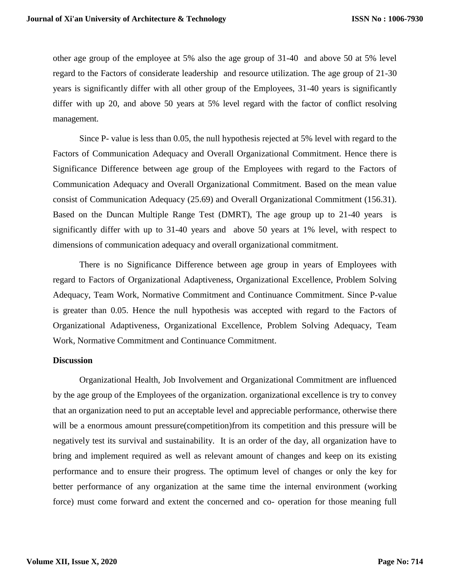other age group of the employee at 5% also the age group of 31-40 and above 50 at 5% level regard to the Factors of considerate leadership and resource utilization. The age group of 21-30 years is significantly differ with all other group of the Employees, 31-40 years is significantly differ with up 20, and above 50 years at 5% level regard with the factor of conflict resolving management.

Since P- value is less than 0.05, the null hypothesis rejected at 5% level with regard to the Factors of Communication Adequacy and Overall Organizational Commitment. Hence there is Significance Difference between age group of the Employees with regard to the Factors of Communication Adequacy and Overall Organizational Commitment. Based on the mean value consist of Communication Adequacy (25.69) and Overall Organizational Commitment (156.31). Based on the Duncan Multiple Range Test (DMRT), The age group up to 21-40 years is significantly differ with up to 31-40 years and above 50 years at 1% level, with respect to dimensions of communication adequacy and overall organizational commitment.

There is no Significance Difference between age group in years of Employees with regard to Factors of Organizational Adaptiveness, Organizational Excellence, Problem Solving Adequacy, Team Work, Normative Commitment and Continuance Commitment. Since P-value is greater than 0.05. Hence the null hypothesis was accepted with regard to the Factors of Organizational Adaptiveness, Organizational Excellence, Problem Solving Adequacy, Team Work, Normative Commitment and Continuance Commitment.

## **Discussion**

Organizational Health, Job Involvement and Organizational Commitment are influenced by the age group of the Employees of the organization. organizational excellence is try to convey that an organization need to put an acceptable level and appreciable performance, otherwise there will be a enormous amount pressure(competition)from its competition and this pressure will be negatively test its survival and sustainability. It is an order of the day, all organization have to bring and implement required as well as relevant amount of changes and keep on its existing performance and to ensure their progress. The optimum level of changes or only the key for better performance of any organization at the same time the internal environment (working force) must come forward and extent the concerned and co- operation for those meaning full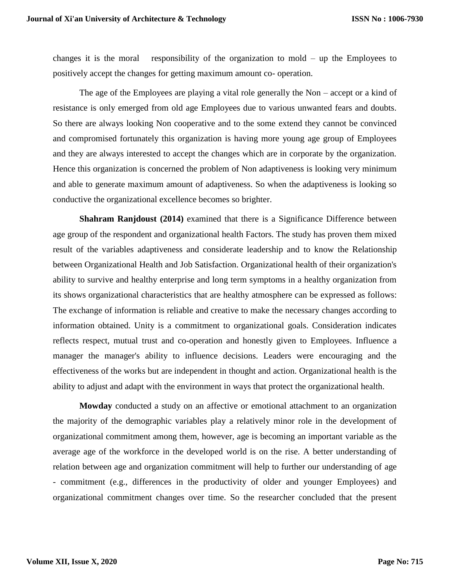changes it is the moral responsibility of the organization to mold – up the Employees to positively accept the changes for getting maximum amount co- operation.

The age of the Employees are playing a vital role generally the Non – accept or a kind of resistance is only emerged from old age Employees due to various unwanted fears and doubts. So there are always looking Non cooperative and to the some extend they cannot be convinced and compromised fortunately this organization is having more young age group of Employees and they are always interested to accept the changes which are in corporate by the organization. Hence this organization is concerned the problem of Non adaptiveness is looking very minimum and able to generate maximum amount of adaptiveness. So when the adaptiveness is looking so conductive the organizational excellence becomes so brighter.

**Shahram Ranjdoust (2014)** examined that there is a Significance Difference between age group of the respondent and organizational health Factors. The study has proven them mixed result of the variables adaptiveness and considerate leadership and to know the Relationship between Organizational Health and Job Satisfaction. Organizational health of their organization's ability to survive and healthy enterprise and long term symptoms in a healthy organization from its shows organizational characteristics that are healthy atmosphere can be expressed as follows: The exchange of information is reliable and creative to make the necessary changes according to information obtained. Unity is a commitment to organizational goals. Consideration indicates reflects respect, mutual trust and co-operation and honestly given to Employees. Influence a manager the manager's ability to influence decisions. Leaders were encouraging and the effectiveness of the works but are independent in thought and action. Organizational health is the ability to adjust and adapt with the environment in ways that protect the organizational health.

**Mowday** conducted a study on an affective or emotional attachment to an organization the majority of the demographic variables play a relatively minor role in the development of organizational commitment among them, however, age is becoming an important variable as the average age of the workforce in the developed world is on the rise. A better understanding of relation between age and organization commitment will help to further our understanding of age - commitment (e.g., differences in the productivity of older and younger Employees) and organizational commitment changes over time. So the researcher concluded that the present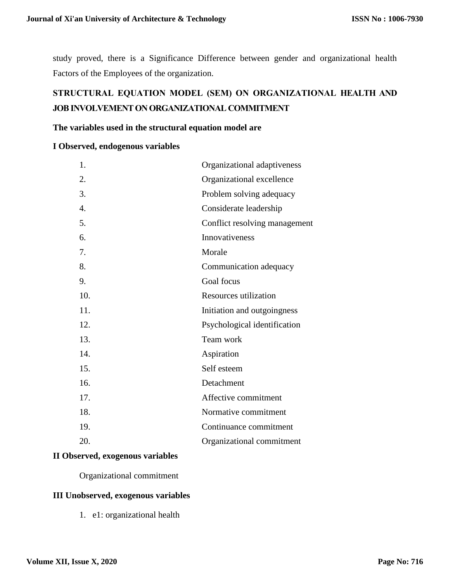study proved, there is a Significance Difference between gender and organizational health Factors of the Employees of the organization.

# **STRUCTURAL EQUATION MODEL (SEM) ON ORGANIZATIONAL HEALTH AND JOB INVOLVEMENT ON ORGANIZATIONAL COMMITMENT**

## **The variables used in the structural equation model are**

## **I Observed, endogenous variables**

| 1.               | Organizational adaptiveness   |
|------------------|-------------------------------|
| 2.               | Organizational excellence     |
| 3.               | Problem solving adequacy      |
| $\overline{4}$ . | Considerate leadership        |
| 5.               | Conflict resolving management |
| 6.               | Innovativeness                |
| 7.               | Morale                        |
| 8.               | Communication adequacy        |
| 9.               | Goal focus                    |
| 10.              | Resources utilization         |
| 11.              | Initiation and outgoingness   |
| 12.              | Psychological identification  |
| 13.              | Team work                     |
| 14.              | Aspiration                    |
| 15.              | Self esteem                   |
| 16.              | Detachment                    |
| 17.              | Affective commitment          |
| 18.              | Normative commitment          |
| 19.              | Continuance commitment        |
| 20.              | Organizational commitment     |

# **II Observed, exogenous variables**

## Organizational commitment

# **III Unobserved, exogenous variables**

1. e1: organizational health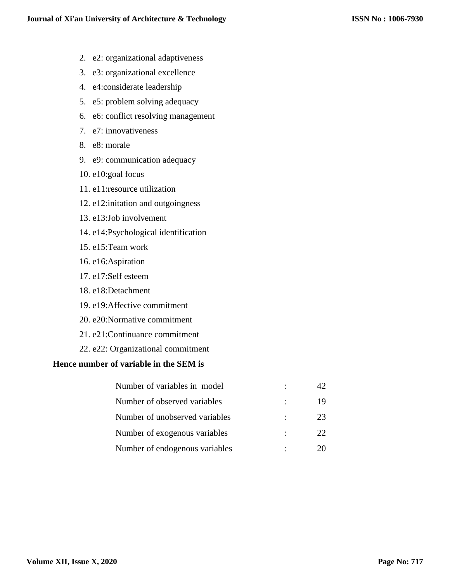- 2. e2: organizational adaptiveness
- 3. e3: organizational excellence
- 4. e4:considerate leadership
- 5. e5: problem solving adequacy
- 6. e6: conflict resolving management
- 7. e7: innovativeness
- 8. e8: morale
- 9. e9: communication adequacy
- 10. e10:goal focus
- 11. e11:resource utilization
- 12. e12:initation and outgoingness
- 13. e13:Job involvement
- 14. e14:Psychological identification
- 15. e15:Team work
- 16. e16:Aspiration
- 17. e17:Self esteem
- 18. e18:Detachment
- 19. e19:Affective commitment
- 20. e20:Normative commitment
- 21. e21:Continuance commitment
- 22. e22: Organizational commitment

# **Hence number of variable in the SEM is**

| Number of variables in model   |   |    |
|--------------------------------|---|----|
| Number of observed variables   |   | 19 |
| Number of unobserved variables | ٠ | 23 |
| Number of exogenous variables  |   | 22 |
| Number of endogenous variables |   |    |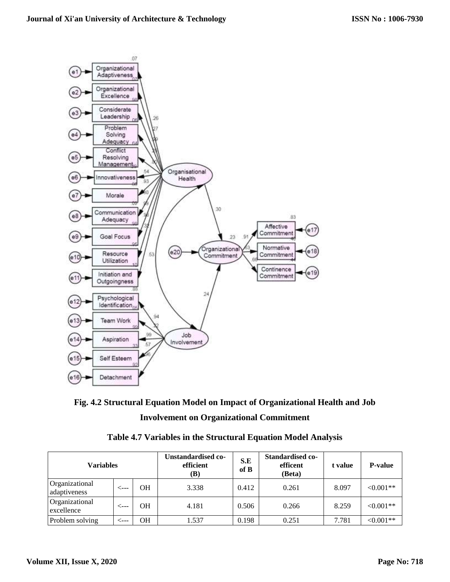



| <b>Variables</b>               |      |    | Unstandardised co-<br>S.E<br>efficient<br>of B<br>(B) |       | Standardised co-<br>efficent<br>(Beta) | t value | <b>P-value</b> |
|--------------------------------|------|----|-------------------------------------------------------|-------|----------------------------------------|---------|----------------|
| Organizational<br>adaptiveness | ←−−− | OН | 3.338                                                 | 0.412 | 0.261                                  | 8.097   | $<0.001**$     |
| Organizational<br>excellence   |      | OН | 4.181                                                 | 0.506 | 0.266                                  | 8.259   | $< 0.001**$    |
| Problem solving                |      | OН | 1.537                                                 | 0.198 | 0.251                                  | 7.781   | $<0.001**$     |

|  |  |  | Table 4.7 Variables in the Structural Equation Model Analysis |  |
|--|--|--|---------------------------------------------------------------|--|
|--|--|--|---------------------------------------------------------------|--|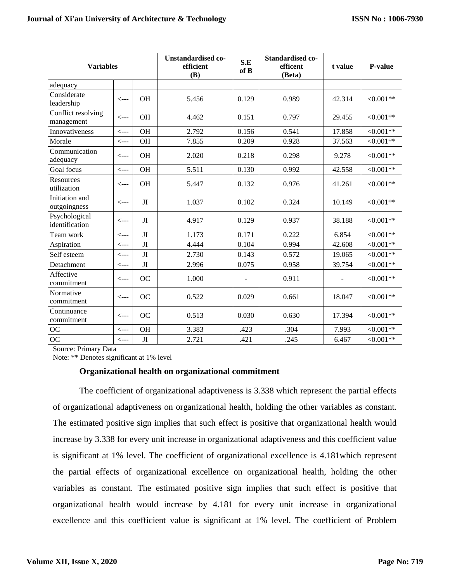| <b>Variables</b>                 |                  | <b>Unstandardised co-</b><br>efficient<br>(B) | S.E<br>of B | <b>Standardised co-</b><br>efficent<br>(Beta) | t value | <b>P-value</b> |             |
|----------------------------------|------------------|-----------------------------------------------|-------------|-----------------------------------------------|---------|----------------|-------------|
| adequacy                         |                  |                                               |             |                                               |         |                |             |
| Considerate<br>leadership        | $\leftarrow$ --- | <b>OH</b>                                     | 5.456       | 0.129                                         | 0.989   | 42.314         | $<0.001**$  |
| Conflict resolving<br>management | $\leftarrow$ --- | OH                                            | 4.462       | 0.151                                         | 0.797   | 29.455         | $<0.001**$  |
| Innovativeness                   | $\leftarrow$ --- | OH                                            | 2.792       | 0.156                                         | 0.541   | 17.858         | $<0.001**$  |
| Morale                           | $\leftarrow$ --- | <b>OH</b>                                     | 7.855       | 0.209                                         | 0.928   | 37.563         | $< 0.001**$ |
| Communication<br>adequacy        | <---             | <b>OH</b>                                     | 2.020       | 0.218                                         | 0.298   | 9.278          | $<0.001**$  |
| Goal focus                       | $\leftarrow$ --- | <b>OH</b>                                     | 5.511       | 0.130                                         | 0.992   | 42.558         | $< 0.001**$ |
| <b>Resources</b><br>utilization  | $\leftarrow$ --- | OH                                            | 5.447       | 0.132                                         | 0.976   | 41.261         | $<0.001**$  |
| Initiation and<br>outgoingness   | <---             | JI                                            | 1.037       | 0.102                                         | 0.324   | 10.149         | $<0.001**$  |
| Psychological<br>identification  | $\leftarrow$ --- | JI                                            | 4.917       | 0.129                                         | 0.937   | 38.188         | $<0.001**$  |
| Team work                        | $\leftarrow$ --- | $\rm{JI}$                                     | 1.173       | 0.171                                         | 0.222   | 6.854          | $<0.001**$  |
| Aspiration                       | $\leftarrow$ --- | $\rm{JI}$                                     | 4.444       | 0.104                                         | 0.994   | 42.608         | $<0.001**$  |
| Self esteem                      | $\leftarrow$ --- | JI                                            | 2.730       | 0.143                                         | 0.572   | 19.065         | $<0.001**$  |
| Detachment                       | <---             | JI                                            | 2.996       | 0.075                                         | 0.958   | 39.754         | $<0.001**$  |
| Affective<br>commitment          | <---             | <b>OC</b>                                     | 1.000       |                                               | 0.911   |                | $<0.001**$  |
| Normative<br>commitment          | $\leftarrow$ --- | <b>OC</b>                                     | 0.522       | 0.029                                         | 0.661   | 18.047         | $<0.001**$  |
| Continuance<br>commitment        | <---             | OC                                            | 0.513       | 0.030                                         | 0.630   | 17.394         | $<0.001**$  |
| OC                               | $\leftarrow$ --- | OH                                            | 3.383       | .423                                          | .304    | 7.993          | $< 0.001**$ |
| $\rm OC$                         | $\leftarrow$ --- | $\rm{JI}$                                     | 2.721       | .421                                          | .245    | 6.467          | $<0.001**$  |

Source: Primary Data

Note: \*\* Denotes significant at 1% level

## **Organizational health on organizational commitment**

The coefficient of organizational adaptiveness is 3.338 which represent the partial effects of organizational adaptiveness on organizational health, holding the other variables as constant. The estimated positive sign implies that such effect is positive that organizational health would increase by 3.338 for every unit increase in organizational adaptiveness and this coefficient value is significant at 1% level. The coefficient of organizational excellence is 4.181which represent the partial effects of organizational excellence on organizational health, holding the other variables as constant. The estimated positive sign implies that such effect is positive that organizational health would increase by 4.181 for every unit increase in organizational excellence and this coefficient value is significant at 1% level. The coefficient of Problem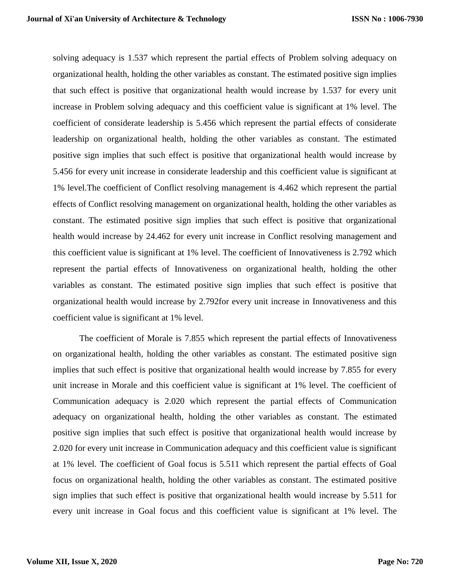solving adequacy is 1.537 which represent the partial effects of Problem solving adequacy on organizational health, holding the other variables as constant. The estimated positive sign implies that such effect is positive that organizational health would increase by 1.537 for every unit increase in Problem solving adequacy and this coefficient value is significant at 1% level. The coefficient of considerate leadership is 5.456 which represent the partial effects of considerate leadership on organizational health, holding the other variables as constant. The estimated positive sign implies that such effect is positive that organizational health would increase by 5.456 for every unit increase in considerate leadership and this coefficient value is significant at 1% level.The coefficient of Conflict resolving management is 4.462 which represent the partial effects of Conflict resolving management on organizational health, holding the other variables as constant. The estimated positive sign implies that such effect is positive that organizational health would increase by 24.462 for every unit increase in Conflict resolving management and this coefficient value is significant at 1% level. The coefficient of Innovativeness is 2.792 which represent the partial effects of Innovativeness on organizational health, holding the other variables as constant. The estimated positive sign implies that such effect is positive that organizational health would increase by 2.792for every unit increase in Innovativeness and this coefficient value is significant at 1% level.

The coefficient of Morale is 7.855 which represent the partial effects of Innovativeness on organizational health, holding the other variables as constant. The estimated positive sign implies that such effect is positive that organizational health would increase by 7.855 for every unit increase in Morale and this coefficient value is significant at 1% level. The coefficient of Communication adequacy is 2.020 which represent the partial effects of Communication adequacy on organizational health, holding the other variables as constant. The estimated positive sign implies that such effect is positive that organizational health would increase by 2.020 for every unit increase in Communication adequacy and this coefficient value is significant at 1% level. The coefficient of Goal focus is 5.511 which represent the partial effects of Goal focus on organizational health, holding the other variables as constant. The estimated positive sign implies that such effect is positive that organizational health would increase by 5.511 for every unit increase in Goal focus and this coefficient value is significant at 1% level. The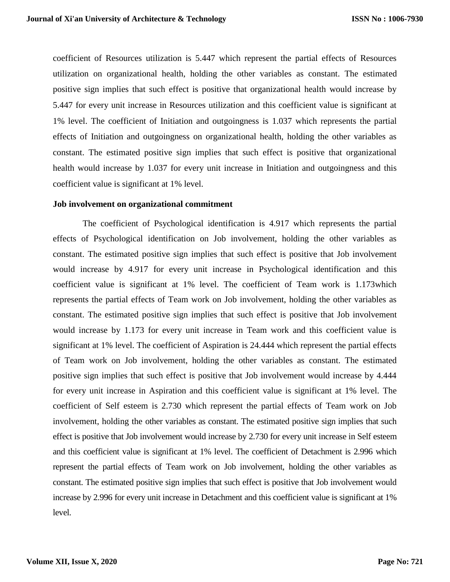coefficient of Resources utilization is 5.447 which represent the partial effects of Resources utilization on organizational health, holding the other variables as constant. The estimated positive sign implies that such effect is positive that organizational health would increase by 5.447 for every unit increase in Resources utilization and this coefficient value is significant at 1% level. The coefficient of Initiation and outgoingness is 1.037 which represents the partial effects of Initiation and outgoingness on organizational health, holding the other variables as constant. The estimated positive sign implies that such effect is positive that organizational health would increase by 1.037 for every unit increase in Initiation and outgoingness and this coefficient value is significant at 1% level.

#### **Job involvement on organizational commitment**

The coefficient of Psychological identification is 4.917 which represents the partial effects of Psychological identification on Job involvement, holding the other variables as constant. The estimated positive sign implies that such effect is positive that Job involvement would increase by 4.917 for every unit increase in Psychological identification and this coefficient value is significant at 1% level. The coefficient of Team work is 1.173which represents the partial effects of Team work on Job involvement, holding the other variables as constant. The estimated positive sign implies that such effect is positive that Job involvement would increase by 1.173 for every unit increase in Team work and this coefficient value is significant at 1% level. The coefficient of Aspiration is 24.444 which represent the partial effects of Team work on Job involvement, holding the other variables as constant. The estimated positive sign implies that such effect is positive that Job involvement would increase by 4.444 for every unit increase in Aspiration and this coefficient value is significant at 1% level. The coefficient of Self esteem is 2.730 which represent the partial effects of Team work on Job involvement, holding the other variables as constant. The estimated positive sign implies that such effect is positive that Job involvement would increase by 2.730 for every unit increase in Self esteem and this coefficient value is significant at 1% level. The coefficient of Detachment is 2.996 which represent the partial effects of Team work on Job involvement, holding the other variables as constant. The estimated positive sign implies that such effect is positive that Job involvement would increase by 2.996 for every unit increase in Detachment and this coefficient value is significant at 1% level.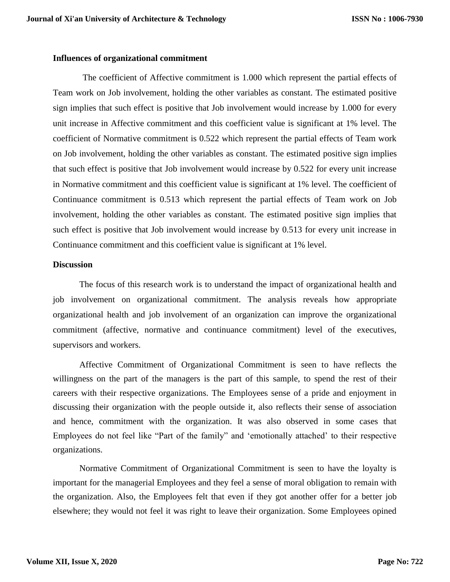## **Influences of organizational commitment**

The coefficient of Affective commitment is 1.000 which represent the partial effects of Team work on Job involvement, holding the other variables as constant. The estimated positive sign implies that such effect is positive that Job involvement would increase by 1.000 for every unit increase in Affective commitment and this coefficient value is significant at 1% level. The coefficient of Normative commitment is 0.522 which represent the partial effects of Team work on Job involvement, holding the other variables as constant. The estimated positive sign implies that such effect is positive that Job involvement would increase by 0.522 for every unit increase in Normative commitment and this coefficient value is significant at 1% level. The coefficient of Continuance commitment is 0.513 which represent the partial effects of Team work on Job involvement, holding the other variables as constant. The estimated positive sign implies that such effect is positive that Job involvement would increase by 0.513 for every unit increase in Continuance commitment and this coefficient value is significant at 1% level.

## **Discussion**

The focus of this research work is to understand the impact of organizational health and job involvement on organizational commitment. The analysis reveals how appropriate organizational health and job involvement of an organization can improve the organizational commitment (affective, normative and continuance commitment) level of the executives, supervisors and workers.

Affective Commitment of Organizational Commitment is seen to have reflects the willingness on the part of the managers is the part of this sample, to spend the rest of their careers with their respective organizations. The Employees sense of a pride and enjoyment in discussing their organization with the people outside it, also reflects their sense of association and hence, commitment with the organization. It was also observed in some cases that Employees do not feel like "Part of the family" and 'emotionally attached' to their respective organizations.

Normative Commitment of Organizational Commitment is seen to have the loyalty is important for the managerial Employees and they feel a sense of moral obligation to remain with the organization. Also, the Employees felt that even if they got another offer for a better job elsewhere; they would not feel it was right to leave their organization. Some Employees opined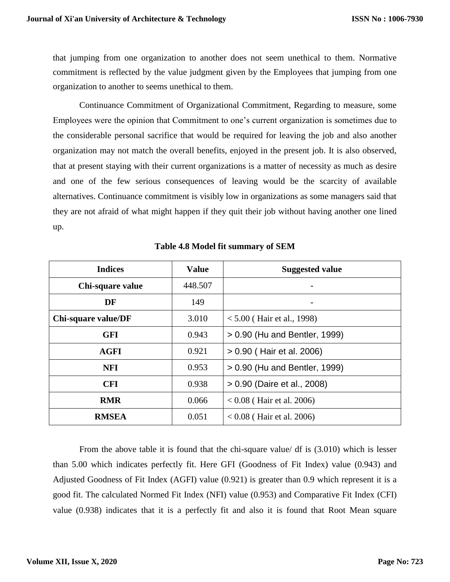that jumping from one organization to another does not seem unethical to them. Normative commitment is reflected by the value judgment given by the Employees that jumping from one organization to another to seems unethical to them.

Continuance Commitment of Organizational Commitment, Regarding to measure, some Employees were the opinion that Commitment to one's current organization is sometimes due to the considerable personal sacrifice that would be required for leaving the job and also another organization may not match the overall benefits, enjoyed in the present job. It is also observed, that at present staying with their current organizations is a matter of necessity as much as desire and one of the few serious consequences of leaving would be the scarcity of available alternatives. Continuance commitment is visibly low in organizations as some managers said that they are not afraid of what might happen if they quit their job without having another one lined up.

| <b>Indices</b>      | <b>Value</b> | <b>Suggested value</b>        |  |
|---------------------|--------------|-------------------------------|--|
| Chi-square value    | 448.507      |                               |  |
| DF                  | 149          |                               |  |
| Chi-square value/DF | 3.010        | $< 5.00$ (Hair et al., 1998)  |  |
| <b>GFI</b>          | 0.943        | > 0.90 (Hu and Bentler, 1999) |  |
| <b>AGFI</b>         | 0.921        | > 0.90 (Hair et al. 2006)     |  |
| <b>NFI</b>          | 0.953        | > 0.90 (Hu and Bentler, 1999) |  |
| <b>CFI</b>          | 0.938        | > 0.90 (Daire et al., 2008)   |  |
| <b>RMR</b>          | 0.066        | $< 0.08$ (Hair et al. 2006)   |  |
| <b>RMSEA</b>        | 0.051        | $0.08$ (Hair et al. 2006)     |  |

**Table 4.8 Model fit summary of SEM**

From the above table it is found that the chi-square value/ df is (3.010) which is lesser than 5.00 which indicates perfectly fit. Here GFI (Goodness of Fit Index) value (0.943) and Adjusted Goodness of Fit Index (AGFI) value (0.921) is greater than 0.9 which represent it is a good fit. The calculated Normed Fit Index (NFI) value (0.953) and Comparative Fit Index (CFI) value (0.938) indicates that it is a perfectly fit and also it is found that Root Mean square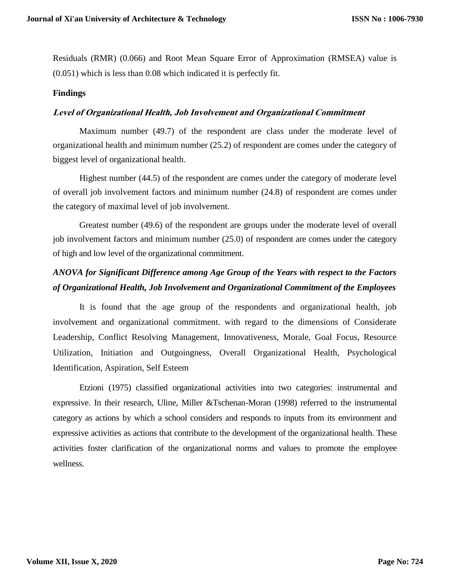Residuals (RMR) (0.066) and Root Mean Square Error of Approximation (RMSEA) value is (0.051) which is less than 0.08 which indicated it is perfectly fit.

## **Findings**

#### **Level of Organizational Health, Job Involvement and Organizational Commitment**

Maximum number (49.7) of the respondent are class under the moderate level of organizational health and minimum number (25.2) of respondent are comes under the category of biggest level of organizational health.

Highest number (44.5) of the respondent are comes under the category of moderate level of overall job involvement factors and minimum number (24.8) of respondent are comes under the category of maximal level of job involvement.

Greatest number (49.6) of the respondent are groups under the moderate level of overall job involvement factors and minimum number (25.0) of respondent are comes under the category of high and low level of the organizational commitment.

# *ANOVA for Significant Difference among Age Group of the Years with respect to the Factors of Organizational Health, Job Involvement and Organizational Commitment of the Employees*

It is found that the age group of the respondents and organizational health, job involvement and organizational commitment. with regard to the dimensions of Considerate Leadership, Conflict Resolving Management, Innovativeness, Morale, Goal Focus, Resource Utilization, Initiation and Outgoingness, Overall Organizational Health, Psychological Identification, Aspiration, Self Esteem

Etzioni (1975) classified organizational activities into two categories: instrumental and expressive. In their research, Uline, Miller &Tschenan-Moran (1998) referred to the instrumental category as actions by which a school considers and responds to inputs from its environment and expressive activities as actions that contribute to the development of the organizational health. These activities foster clarification of the organizational norms and values to promote the employee wellness.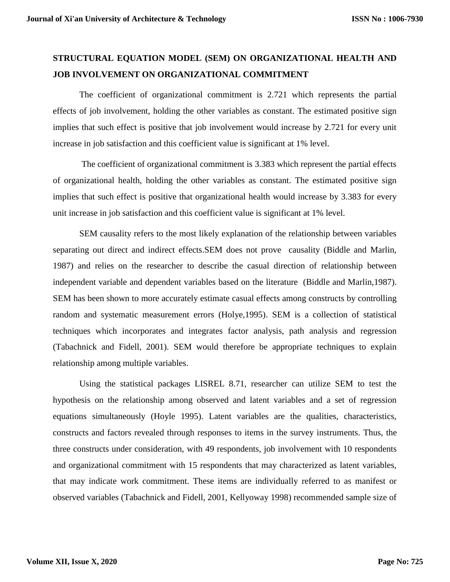# **STRUCTURAL EQUATION MODEL (SEM) ON ORGANIZATIONAL HEALTH AND JOB INVOLVEMENT ON ORGANIZATIONAL COMMITMENT**

The coefficient of organizational commitment is 2.721 which represents the partial effects of job involvement, holding the other variables as constant. The estimated positive sign implies that such effect is positive that job involvement would increase by 2.721 for every unit increase in job satisfaction and this coefficient value is significant at 1% level.

The coefficient of organizational commitment is 3.383 which represent the partial effects of organizational health, holding the other variables as constant. The estimated positive sign implies that such effect is positive that organizational health would increase by 3.383 for every unit increase in job satisfaction and this coefficient value is significant at 1% level.

SEM causality refers to the most likely explanation of the relationship between variables separating out direct and indirect effects.SEM does not prove causality (Biddle and Marlin, 1987) and relies on the researcher to describe the casual direction of relationship between independent variable and dependent variables based on the literature (Biddle and Marlin,1987). SEM has been shown to more accurately estimate casual effects among constructs by controlling random and systematic measurement errors (Holye,1995). SEM is a collection of statistical techniques which incorporates and integrates factor analysis, path analysis and regression (Tabachnick and Fidell, 2001). SEM would therefore be appropriate techniques to explain relationship among multiple variables.

Using the statistical packages LISREL 8.71, researcher can utilize SEM to test the hypothesis on the relationship among observed and latent variables and a set of regression equations simultaneously (Hoyle 1995). Latent variables are the qualities, characteristics, constructs and factors revealed through responses to items in the survey instruments. Thus, the three constructs under consideration, with 49 respondents, job involvement with 10 respondents and organizational commitment with 15 respondents that may characterized as latent variables, that may indicate work commitment. These items are individually referred to as manifest or observed variables (Tabachnick and Fidell, 2001, Kellyoway 1998) recommended sample size of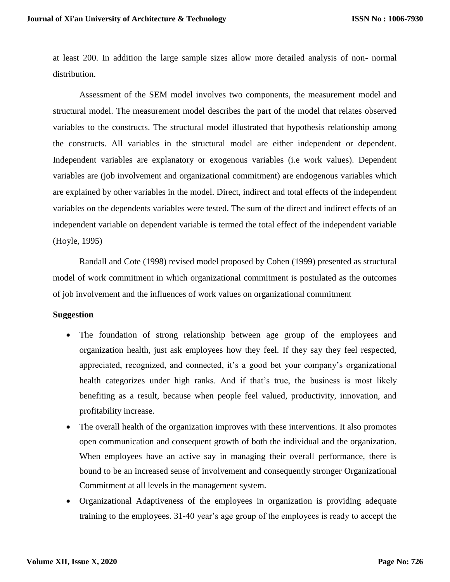at least 200. In addition the large sample sizes allow more detailed analysis of non- normal distribution.

Assessment of the SEM model involves two components, the measurement model and structural model. The measurement model describes the part of the model that relates observed variables to the constructs. The structural model illustrated that hypothesis relationship among the constructs. All variables in the structural model are either independent or dependent. Independent variables are explanatory or exogenous variables (i.e work values). Dependent variables are (job involvement and organizational commitment) are endogenous variables which are explained by other variables in the model. Direct, indirect and total effects of the independent variables on the dependents variables were tested. The sum of the direct and indirect effects of an independent variable on dependent variable is termed the total effect of the independent variable (Hoyle, 1995)

Randall and Cote (1998) revised model proposed by Cohen (1999) presented as structural model of work commitment in which organizational commitment is postulated as the outcomes of job involvement and the influences of work values on organizational commitment

## **Suggestion**

- The foundation of strong relationship between age group of the employees and organization health, just ask employees how they feel. If they say they feel respected, appreciated, recognized, and connected, it's a good bet your company's organizational health categorizes under high ranks. And if that's true, the business is most likely benefiting as a result, because when people feel valued, productivity, innovation, and profitability increase.
- The overall health of the organization improves with these interventions. It also promotes open communication and consequent growth of both the individual and the organization. When employees have an active say in managing their overall performance, there is bound to be an increased sense of involvement and consequently stronger Organizational Commitment at all levels in the management system.
- Organizational Adaptiveness of the employees in organization is providing adequate training to the employees. 31-40 year's age group of the employees is ready to accept the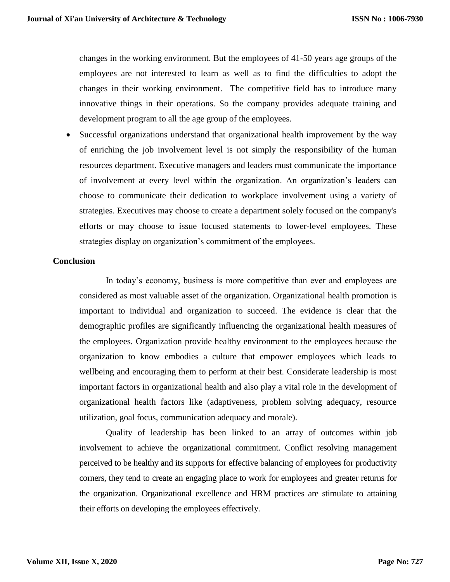changes in the working environment. But the employees of 41-50 years age groups of the employees are not interested to learn as well as to find the difficulties to adopt the changes in their working environment. The competitive field has to introduce many innovative things in their operations. So the company provides adequate training and development program to all the age group of the employees.

 Successful organizations understand that organizational health improvement by the way of enriching the job involvement level is not simply the responsibility of the human resources department. Executive managers and leaders must communicate the importance of involvement at every level within the organization. An organization's leaders can choose to communicate their dedication to workplace involvement using a variety of strategies. Executives may choose to create a department solely focused on the company's efforts or may choose to issue focused statements to lower-level employees. These strategies display on organization's commitment of the employees.

## **Conclusion**

In today's economy, business is more competitive than ever and employees are considered as most valuable asset of the organization. Organizational health promotion is important to individual and organization to succeed. The evidence is clear that the demographic profiles are significantly influencing the organizational health measures of the employees. Organization provide healthy environment to the employees because the organization to know embodies a culture that empower employees which leads to wellbeing and encouraging them to perform at their best. Considerate leadership is most important factors in organizational health and also play a vital role in the development of organizational health factors like (adaptiveness, problem solving adequacy, resource utilization, goal focus, communication adequacy and morale).

Quality of leadership has been linked to an array of outcomes within job involvement to achieve the organizational commitment. Conflict resolving management perceived to be healthy and its supports for effective balancing of employees for productivity corners, they tend to create an engaging place to work for employees and greater returns for the organization. Organizational excellence and HRM practices are stimulate to attaining their efforts on developing the employees effectively.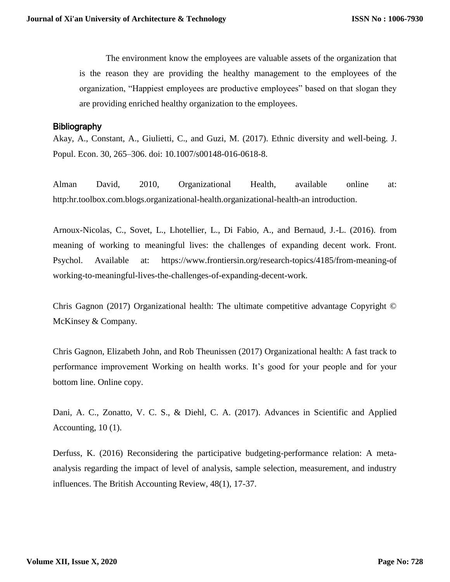The environment know the employees are valuable assets of the organization that is the reason they are providing the healthy management to the employees of the organization, "Happiest employees are productive employees" based on that slogan they are providing enriched healthy organization to the employees.

# **Bibliography**

Akay, A., Constant, A., Giulietti, C., and Guzi, M. (2017). Ethnic diversity and well-being. J. Popul. Econ. 30, 265–306. doi: 10.1007/s00148-016-0618-8.

Alman David, 2010, Organizational Health, available online at: http:hr.toolbox.com.blogs.organizational-health.organizational-health-an introduction.

Arnoux-Nicolas, C., Sovet, L., Lhotellier, L., Di Fabio, A., and Bernaud, J.-L. (2016). from meaning of working to meaningful lives: the challenges of expanding decent work. Front. Psychol. Available at: [https://www.frontiersin.org/research-topics/4185/from-meaning-of](https://www.frontiersin.org/research-topics/4185/from-meaning-of%20working-to-meaningful-lives-the-challenges-of-expanding-decent-work)  [working-to-meaningful-lives-the-challenges-of-expanding-decent-work.](https://www.frontiersin.org/research-topics/4185/from-meaning-of%20working-to-meaningful-lives-the-challenges-of-expanding-decent-work)

[Chris Gagnon](https://www.mckinsey.com/our-people/chris-gagnon) (2017) Organizational health: The ultimate competitive advantage Copyright © McKinsey & Company.

[Chris Gagnon,](https://www.mckinsey.com/our-people/chris-gagnon) Elizabeth John, and Rob Theunissen (2017) Organizational health: A fast track to performance improvement Working on health works. It's good for your people and for your bottom line. Online copy.

Dani, A. C., Zonatto, V. C. S., & Diehl, C. A. (2017). Advances in Scientific and Applied Accounting, 10 (1).

Derfuss, K. (2016) Reconsidering the participative budgeting-performance relation: A metaanalysis regarding the impact of level of analysis, sample selection, measurement, and industry influences. The British Accounting Review, 48(1), 17-37.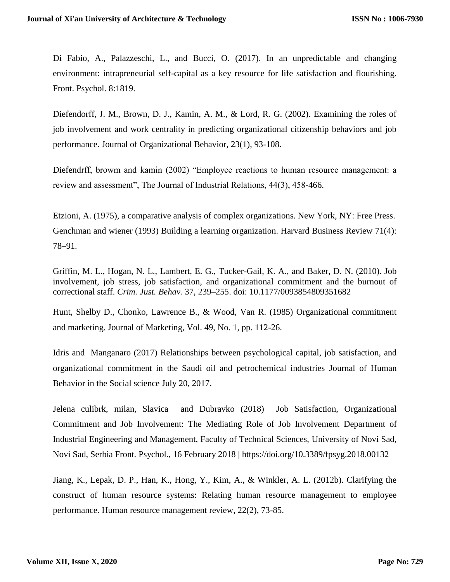Di Fabio, A., Palazzeschi, L., and Bucci, O. (2017). In an unpredictable and changing environment: intrapreneurial self-capital as a key resource for life satisfaction and flourishing. Front. Psychol. 8:1819.

Diefendorff, J. M., Brown, D. J., Kamin, A. M., & Lord, R. G. (2002). Examining the roles of job involvement and work centrality in predicting organizational citizenship behaviors and job performance. Journal of Organizational Behavior, 23(1), 93-108.

Diefendrff, browm and kamin (2002) "Employee reactions to human resource management: a review and assessment", The Journal of Industrial Relations, 44(3), 458-466.

Etzioni, A. (1975), a comparative analysis of complex organizations. New York, NY: Free Press. Genchman and wiener (1993) Building a learning organization. Harvard Business Review 71(4): 78–91.

Griffin, M. L., Hogan, N. L., Lambert, E. G., Tucker-Gail, K. A., and Baker, D. N. (2010). Job involvement, job stress, job satisfaction, and organizational commitment and the burnout of correctional staff. *Crim. Just. Behav.* 37, 239–255. doi: 10.1177/0093854809351682

Hunt, Shelby D., Chonko, Lawrence B., & Wood, Van R. (1985) Organizational commitment and marketing. Journal of Marketing, Vol. 49, No. 1, pp. 112-26.

Idris and Manganaro (2017) [Relationships between psychological capital, job satisfaction, and](http://scholar.google.co.in/scholar_url?url=https%3A%2F%2Fwww.tandfonline.com%2Fdoi%2Fabs%2F10.1080%2F10911359.2017.1279098&hl=en&sa=T&ct=res&cd=0&d=8250812910744669214&ei=8jpzXufsIZKMygS0zKZY&scisig=AAGBfm06_aDdb-EPzkwrkmrCT2sjBXtoVw&nossl=1&ws=1366x657&at=)  [organizational commitment in the Saudi oil and petrochemical industries](http://scholar.google.co.in/scholar_url?url=https%3A%2F%2Fwww.tandfonline.com%2Fdoi%2Fabs%2F10.1080%2F10911359.2017.1279098&hl=en&sa=T&ct=res&cd=0&d=8250812910744669214&ei=8jpzXufsIZKMygS0zKZY&scisig=AAGBfm06_aDdb-EPzkwrkmrCT2sjBXtoVw&nossl=1&ws=1366x657&at=) Journal of Human Behavior in the Social science July 20, 2017.

[Jelena culibrk,](http://www.frontiersin.org/people/u/496302) milan, [Slavica](http://www.frontiersin.org/people/u/521954) and Dubravko [\(2018\) J](http://www.frontiersin.org/people/u/182267)ob Satisfaction, Organizational Commitment and Job Involvement: The Mediating Role of Job Involvement Department of Industrial Engineering and Management, Faculty of Technical Sciences, University of Novi Sad, Novi Sad, Serbia Front. Psychol., 16 February 2018 | <https://doi.org/10.3389/fpsyg.2018.00132>

Jiang, K., Lepak, D. P., Han, K., Hong, Y., Kim, A., & Winkler, A. L. (2012b). Clarifying the construct of human resource systems: Relating human resource management to employee performance. Human resource management review, 22(2), 73-85.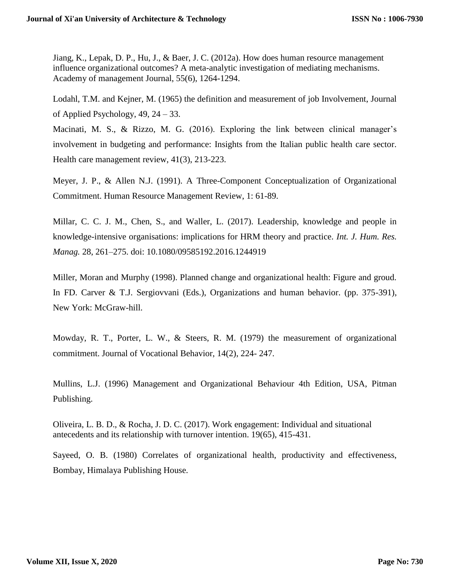Jiang, K., Lepak, D. P., Hu, J., & Baer, J. C. (2012a). How does human resource management influence organizational outcomes? A meta-analytic investigation of mediating mechanisms. Academy of management Journal, 55(6), 1264-1294.

Lodahl, T.M. and Kejner, M. (1965) the definition and measurement of job Involvement, Journal of Applied Psychology, 49, 24 – 33.

Macinati, M. S., & Rizzo, M. G. (2016). Exploring the link between clinical manager's involvement in budgeting and performance: Insights from the Italian public health care sector. Health care management review, 41(3), 213-223.

Meyer, J. P., & Allen N.J. (1991). A Three-Component Conceptualization of Organizational Commitment. Human Resource Management Review, 1: 61-89.

Millar, C. C. J. M., Chen, S., and Waller, L. (2017). Leadership, knowledge and people in knowledge-intensive organisations: implications for HRM theory and practice. *Int. J. Hum. Res. Manag.* 28, 261–275. doi: 10.1080/09585192.2016.1244919

Miller, Moran and Murphy (1998). Planned change and organizational health: Figure and groud. In FD. Carver & T.J. Sergiovvani (Eds.), Organizations and human behavior. (pp. 375-391), New York: McGraw-hill.

Mowday, R. T., Porter, L. W., & Steers, R. M. (1979) the measurement of organizational commitment. Journal of Vocational Behavior, 14(2), 224- 247.

Mullins, L.J. (1996) Management and Organizational Behaviour 4th Edition, USA, Pitman Publishing.

Oliveira, L. B. D., & Rocha, J. D. C. (2017). Work engagement: Individual and situational antecedents and its relationship with turnover intention. 19(65), 415-431.

Sayeed, O. B. (1980) Correlates of organizational health, productivity and effectiveness, Bombay, Himalaya Publishing House.